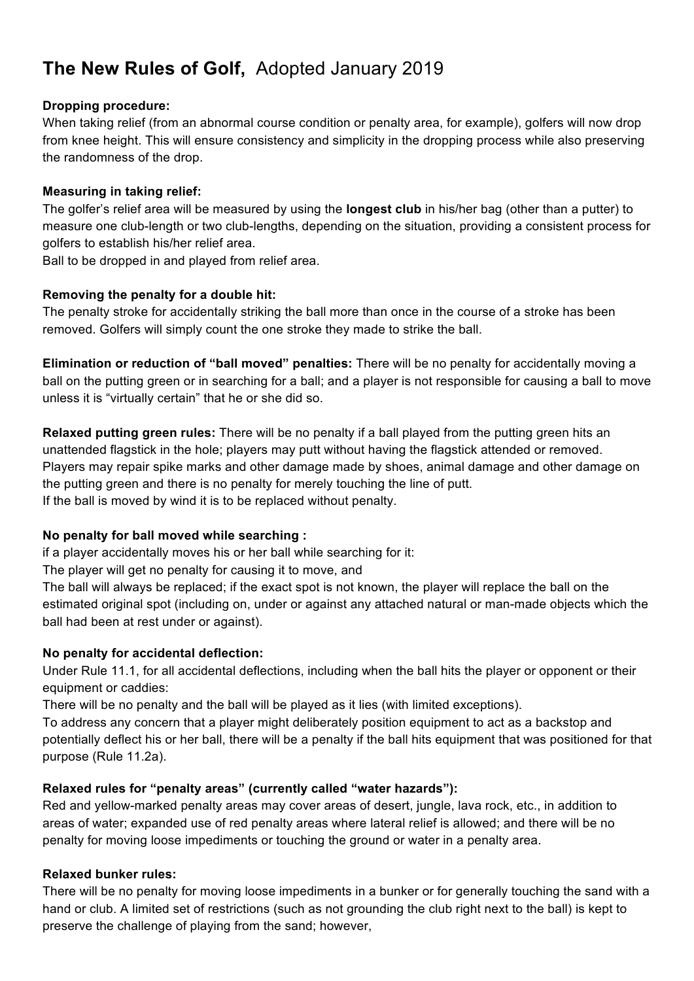# **The New Rules of Golf,** Adopted January 2019

## **Dropping procedure:**

When taking relief (from an abnormal course condition or penalty area, for example), golfers will now drop from knee height. This will ensure consistency and simplicity in the dropping process while also preserving the randomness of the drop.

### **Measuring in taking relief:**

The golfer's relief area will be measured by using the **longest club** in his/her bag (other than a putter) to measure one club-length or two club-lengths, depending on the situation, providing a consistent process for golfers to establish his/her relief area.

Ball to be dropped in and played from relief area.

# **Removing the penalty for a double hit:**

The penalty stroke for accidentally striking the ball more than once in the course of a stroke has been removed. Golfers will simply count the one stroke they made to strike the ball.

**Elimination or reduction of "ball moved" penalties:** There will be no penalty for accidentally moving a ball on the putting green or in searching for a ball; and a player is not responsible for causing a ball to move unless it is "virtually certain" that he or she did so.

**Relaxed putting green rules:** There will be no penalty if a ball played from the putting green hits an unattended flagstick in the hole; players may putt without having the flagstick attended or removed. Players may repair spike marks and other damage made by shoes, animal damage and other damage on the putting green and there is no penalty for merely touching the line of putt. If the ball is moved by wind it is to be replaced without penalty.

# **No penalty for ball moved while searching :**

if a player accidentally moves his or her ball while searching for it:

The player will get no penalty for causing it to move, and

The ball will always be replaced; if the exact spot is not known, the player will replace the ball on the estimated original spot (including on, under or against any attached natural or man-made objects which the ball had been at rest under or against).

# **No penalty for accidental deflection:**

Under Rule 11.1, for all accidental deflections, including when the ball hits the player or opponent or their equipment or caddies:

There will be no penalty and the ball will be played as it lies (with limited exceptions).

To address any concern that a player might deliberately position equipment to act as a backstop and potentially deflect his or her ball, there will be a penalty if the ball hits equipment that was positioned for that purpose (Rule 11.2a).

# **Relaxed rules for "penalty areas" (currently called "water hazards"):**

Red and yellow-marked penalty areas may cover areas of desert, jungle, lava rock, etc., in addition to areas of water; expanded use of red penalty areas where lateral relief is allowed; and there will be no penalty for moving loose impediments or touching the ground or water in a penalty area.

# **Relaxed bunker rules:**

There will be no penalty for moving loose impediments in a bunker or for generally touching the sand with a hand or club. A limited set of restrictions (such as not grounding the club right next to the ball) is kept to preserve the challenge of playing from the sand; however,